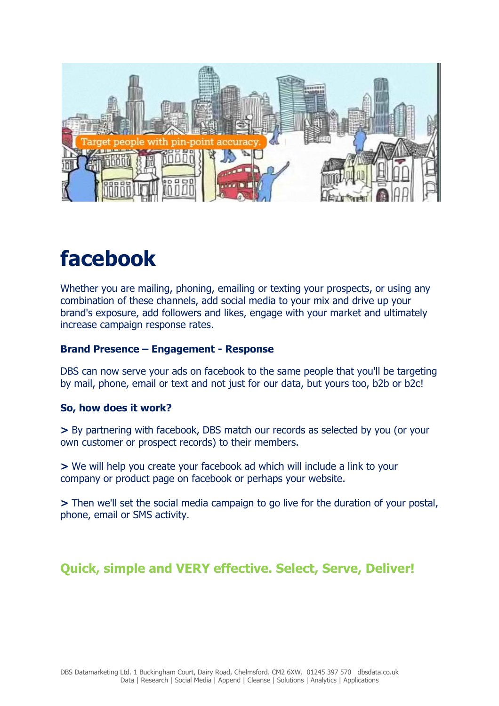

# facebook

Whether you are mailing, phoning, emailing or texting your prospects, or using any combination of these channels, add social media to your mix and drive up your brand's exposure, add followers and likes, engage with your market and ultimately increase campaign response rates.

### Brand Presence – Engagement - Response

DBS can now serve your ads on facebook to the same people that you'll be targeting by mail, phone, email or text and not just for our data, but yours too, b2b or b2c!

#### So, how does it work?

> By partnering with facebook, DBS match our records as selected by you (or your own customer or prospect records) to their members.

> We will help you create your facebook ad which will include a link to your company or product page on facebook or perhaps your website.

> Then we'll set the social media campaign to go live for the duration of your postal, phone, email or SMS activity.

# Quick, simple and VERY effective. Select, Serve, Deliver!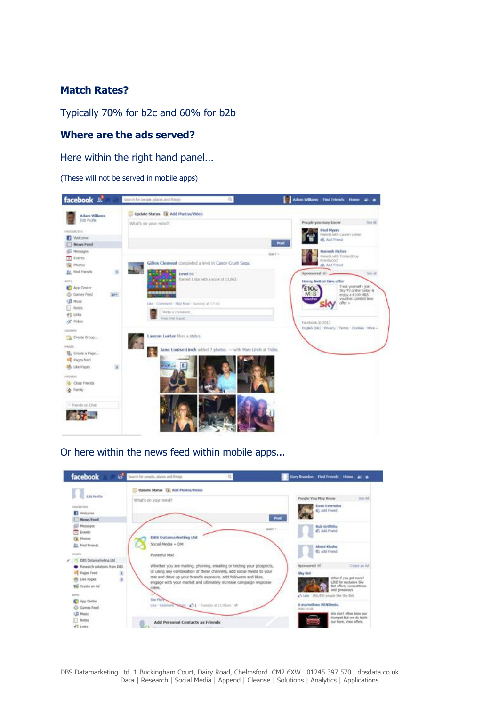# Match Rates?

Typically 70% for b2c and 60% for b2b

#### Where are the ads served?

Here within the right hand panel...

(These will not be served in mobile apps)



Or here within the news feed within mobile apps...

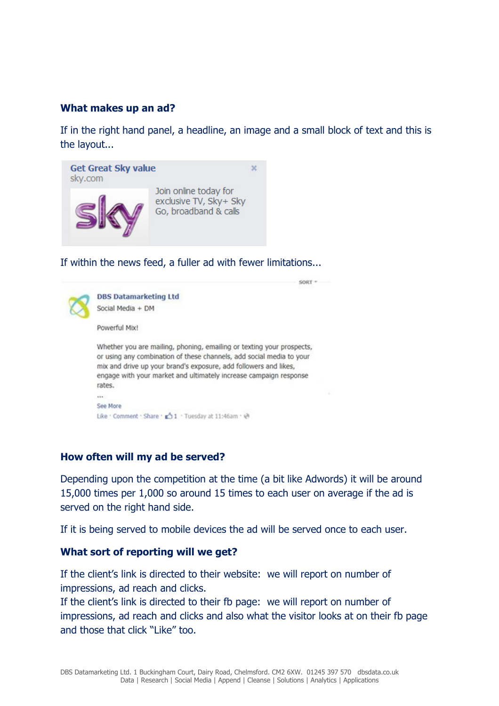#### What makes up an ad?

If in the right hand panel, a headline, an image and a small block of text and this is the layout...



If within the news feed, a fuller ad with fewer limitations...



#### How often will my ad be served?

Depending upon the competition at the time (a bit like Adwords) it will be around 15,000 times per 1,000 so around 15 times to each user on average if the ad is served on the right hand side.

If it is being served to mobile devices the ad will be served once to each user.

#### What sort of reporting will we get?

If the client's link is directed to their website: we will report on number of impressions, ad reach and clicks.

If the client's link is directed to their fb page: we will report on number of impressions, ad reach and clicks and also what the visitor looks at on their fb page and those that click "Like" too.